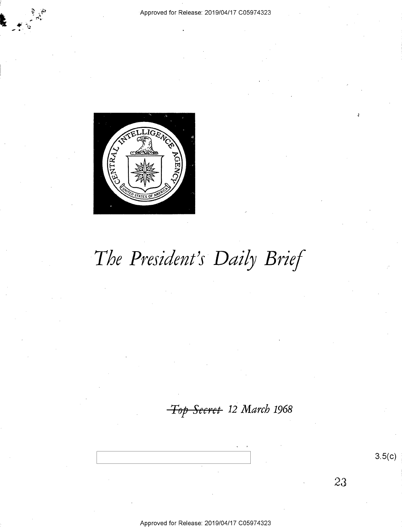#### Approved for Release: 2019/04/17 C05974323



# The President's Daily Brief

Top Secret 12 March 1968

Approved for Release: 2019/04/17 C05974323

 $3.5(c)$ 

23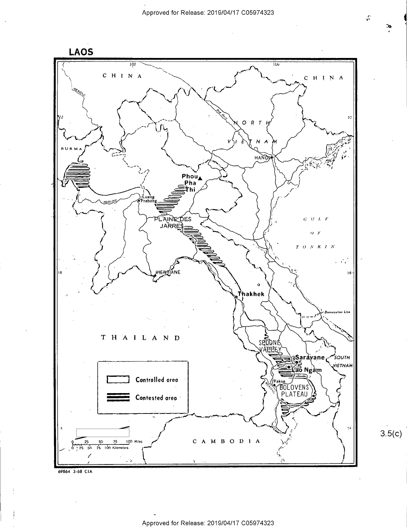



 $3.5(c)$ 

 $\mathcal{C}$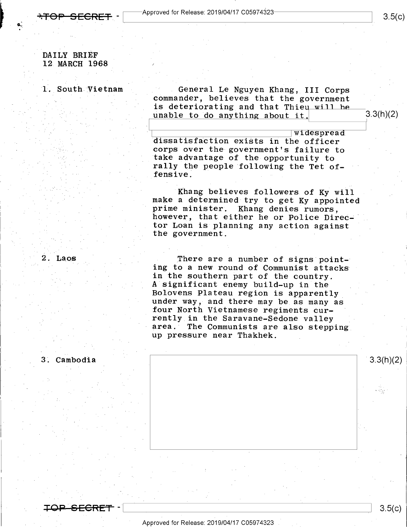$\overline{\rm \bf TOP}{\rm \bf SECRET}$  -  $\overline{\phantom{a}}^{\rm Approved}$  for Release: 2019/04/17 C05974323-

#### DAILY BRIEF 12 MARCH 1968 /

p -

1. South Vietnam

General Le Nguyen Khang, III Corps commander, believes that the government is deteriorating and that Thieu will be unable to do anything about it.  $3.3(h)(2)$ 

dissatisfaction exists in the officer corps over the government's failure to take advantage of the opportunity to rally the people following the Tet offensive.

Khang believes followers of Ky will<br>make a determined try to get Ky appointed<br>prime minister. Khang denies rumors,<br>however, that either he or Police Director Loan is planning any action against the government.

2. Laos **There** are a number of signs pointing to a new round of Communist attacks in the southern part of the country. A significant enemy build-up in the<br>Bolovens Plateau region is apparently under way, and there may be as many as four North Vietnamese regiments currently in the Saravane-Sedone valley area. The Communists are also stepping<br>up pressure near Thakhek.

 $\frac{3.3(h)(2)}{2}$ 

3; Cambodia

 $\overline{\text{OP}-\text{SEGRET}}$  -  $\vert$  3.5(c)

 $3.5(c)$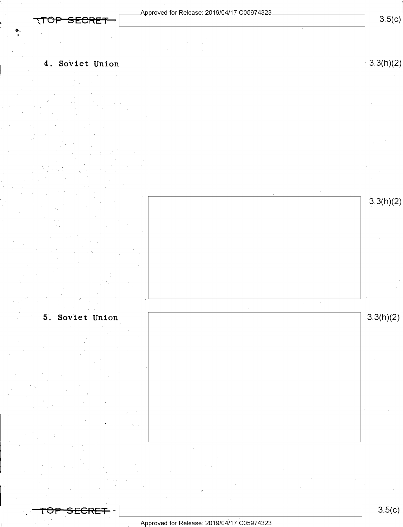$3.5(c)$ 



 $5.$  Soviet Union  $3.3(h)(2)$ 

—?eP—s-EeRET- -\ \ 8-5(¢)

#### \_ Approved for Release: 2019/O4/17 CO5974323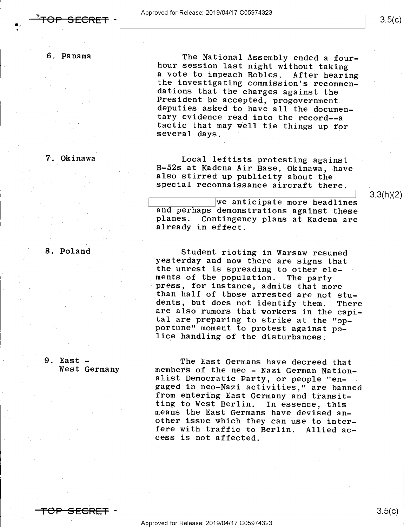$3.5(c)$ 

6. Panama

SECRET

The National Assembly ended a four-<br>hour session last night without taking<br>a vote to impeach Robles. After hearing the investigating commission's recommen-<br>dations that the charges against the<br>President be accepted, progovernment<br>deputies asked to have all the documen-<br>tary evidence read into the record--a<br>tactic that may well tie thin

#### 7. Okinawa

8. Poland

Local leftists protesting against B-52s at Kadena Air Base, Okinawa, have also stirred up publicity about the special reconnaissance aircraft there.

 $\qquad \qquad$ 

3.3(h)(2)

We anticipate more headlines<br>and perhaps demonstrations against these<br>planes. Contingency plans at Kadena are<br>already in effect.

Student rioting in Warsaw resumed<br>yesterday and now there are signs that<br>the unrest is spreading to other ele-<br>ments of the population. The party<br>press, for instance, admits that more<br>than half of those arrested are not st lice handling of the disturbances.

9. East - . West Germany The East Germans have decreed that<br>members of the neo - Nazi German Nation-<br>alist Democratic Party, or people "en-<br>gaged in neo-Nazi activities," are banned<br>from entering East Germany and transit-<br>ting to West Berlin. In e

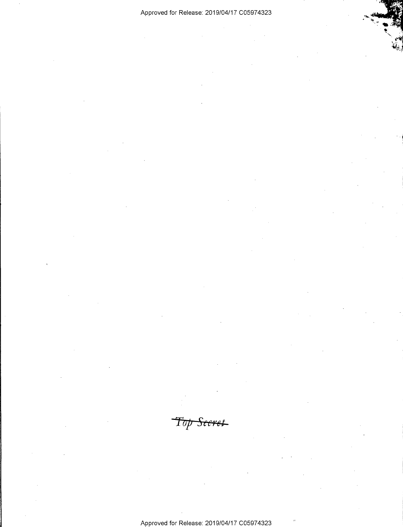### Approved for Release: 2019/O4/17 CO5974323

"M <sup>r</sup>

. 1;, ' - 1

 $\ddot{}$ 

 $\sim$   $\sim$  $-1$ 

Top Seeret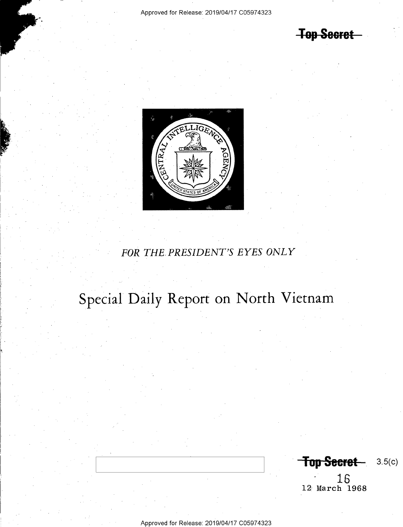**Top Secret** 



### FOR THE PRESIDENT'S EYES ONLY

## Special Daily Report on North Vietnam

**Top Secret** 3.5(c)

16 12 March 1968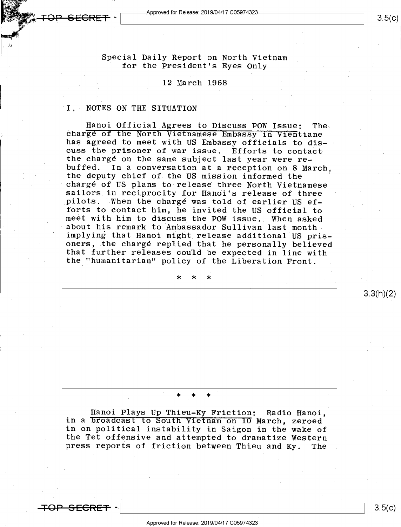$\bullet$  -5ECRET  $\cdot$  Approved for Release: 2019/04/17 C059/4323  $\bullet$  5 (C) 3.5(c)

٠,

Special Daily Report on North Vietnam for the President's Eyes Only

#### 12 March 1968

#### I. NOTES ON THE SITUATION

Hanoi Official Agrees to Discuss POW Issue: The-<br>charge of the North Vietnamese Embassy in Vientiane<br>has agreed to meet with US Embassy officials to discuss the prisoner of war issue. Efforts to contact<br>the chargé on the same subject last year were rebuffed. In a conversation at a reception on 8 March, the deputy chief of the US mission informed the chargé of US plans to release three North Vietnamese sailors in reciprocity for Hanoi's release of three pilots. When the chargé was told of earlier US efmeet with him to discuss the POW issue. When asked about his remark to Ambassador Sullivan last month implying that Hanoi might release additional US prisoners, the chargé replied that he personally believed<br>that further releases could be expected in line with the "humanitarian" policy of the Liberation Front.

\* \* #

#### \* \* \*

Hanoi Plays Up Thieu-Ky Friction: Radio Hanoi,<br>in a broadcast to South Vietnam on IO March, zeroed<br>in on political instability in Saigon in the wake of<br>the Tet offensive and attempted to dramatize Western<br>press reports of

 $SFEBF\pm$ 

 $3.5(c)$ 

 $3.3(h)(2)$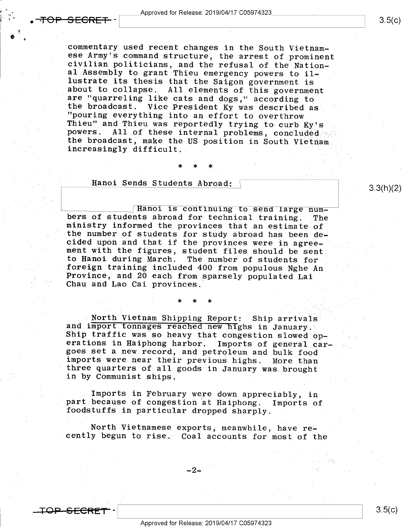commentary used recent changes in the South Vietnam-<br>ese Army's command structure, the arrest of prominent<br>civilian politicians, and the refusal of the Nation-<br>al Assembly to grant Thieu emergency powers to il-<br>lustrate it about to collapse. All elements of this government<br>are "quarreling like cats and dogs," according to<br>the broadcast. Vice President Ky was described as<br>"pouring everything into an effort to overthrow<br>Thieu" and Thieu was re

#### Hanoi Sends Students Abroad; \

 $\star$  \* \* \*

Hanoi is continuing to send large num-<br>bers of students abroad for technical training. The<br>ministry informed the provinces that an estimate of<br>the number of students for study abroad has been de-<br>cided upon and that if the ment with the figures, student files should be sent<br>to Hanoi during March. The number of students for<br>foreign training included 400 from populous Nghe An Frovince, and 20 each from sparsely populated Lai Chau and Lao Cai provinces.

North Vietnam Shipping Report: Ship arrivals<br>and import tonnages reached new highs in January.<br>Ship traffic was so heavy that congestion slowed operations in Haiphong harbor. Imports of general car-<br>goes set a new record, and petroleum and bulk food<br>imports were near their previous highs. More than three quarters of all goods in January was brought<br>in by Communist ships.

Imports in February were down appreciably, in part because of congestion at Haiphong. Imports of foodstuffs in particular dropped sharply.

<sup>A</sup>North Vietnamese exports, meanwhile, have re- cently begun to rise." Coal accounts for most of the

\_2\_

3.3(h)(2)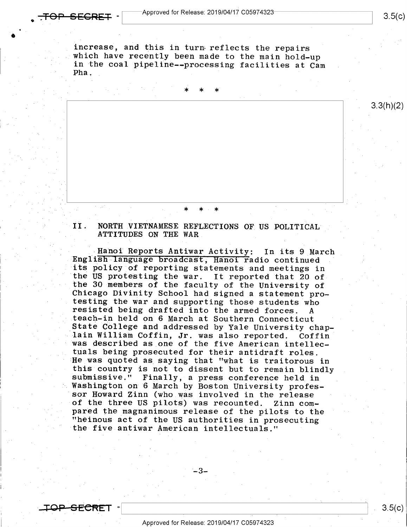increase, and this in turn reflects the repairs<br>which have recently been made to the main hold-up<br>in the coal pipeline--processing facilities at Cam<br>Pha.

\* \* \*

II. NORTH VIETNAMESE REFLECTIONS OF US POLITICAL ATTITUDES ON THE WAR

. \* \*i \* .

»Hanoi Reports Antiwar Activity: In its 9 March English language broadcast, Hanoi radio continued v' the US protesting the war. It reported that 20 of<br>the 30 members of the faculty of the University of<br>Chicago Divinity School had signed a statement pro-<br>testing the war and supporting those students who<br>resisted being draf State College and addressed by Yale University chap-<br>lain William Coffin, Jr. was also reported. Coffin<br>was described as one of the five American intellec-<br>tuals being prosecuted for their antidraft roles.<br>He was quoted as the five antiwar American intellectuals."

. .

~ <sup>~</sup>

4\_3\_

 $3.5(c)$ 

 $3.3(h)(2)$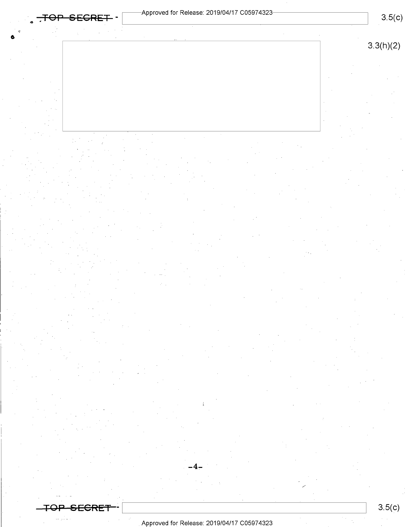